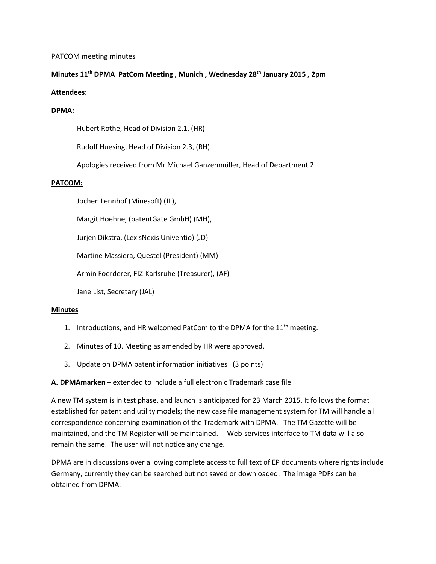# PATCOM meeting minutes

# **Minutes 11th DPMA PatCom Meeting , Munich , Wednesday 28th January 2015 , 2pm**

# **Attendees:**

# **DPMA:**

Hubert Rothe, Head of Division 2.1, (HR)

Rudolf Huesing, Head of Division 2.3, (RH)

Apologies received from Mr Michael Ganzenmüller, Head of Department 2.

# **PATCOM:**

Jochen Lennhof (Minesoft) (JL),

Margit Hoehne, (patentGate GmbH) (MH),

Jurjen Dikstra, (LexisNexis Univentio) (JD)

Martine Massiera, Questel (President) (MM)

Armin Foerderer, FIZ-Karlsruhe (Treasurer), (AF)

Jane List, Secretary (JAL)

# **Minutes**

- 1. Introductions, and HR welcomed PatCom to the DPMA for the  $11<sup>th</sup>$  meeting.
- 2. Minutes of 10. Meeting as amended by HR were approved.
- 3. Update on DPMA patent information initiatives (3 points)

# **A. DPMAmarken** – extended to include a full electronic Trademark case file

A new TM system is in test phase, and launch is anticipated for 23 March 2015. It follows the format established for patent and utility models; the new case file management system for TM will handle all correspondence concerning examination of the Trademark with DPMA. The TM Gazette will be maintained, and the TM Register will be maintained. Web-services interface to TM data will also remain the same. The user will not notice any change.

DPMA are in discussions over allowing complete access to full text of EP documents where rights include Germany, currently they can be searched but not saved or downloaded. The image PDFs can be obtained from DPMA.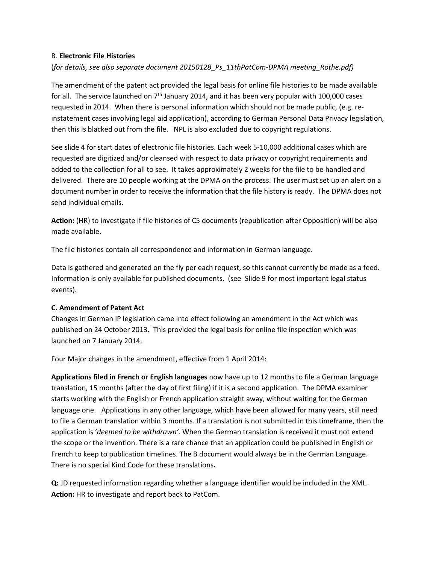#### B. **Electronic File Histories**

# (*for details, see also separate document 20150128\_Ps\_11thPatCom-DPMA meeting\_Rothe.pdf)*

The amendment of the patent act provided the legal basis for online file histories to be made available for all. The service launched on  $7<sup>th</sup>$  January 2014, and it has been very popular with 100,000 cases requested in 2014. When there is personal information which should not be made public, (e.g. reinstatement cases involving legal aid application), according to German Personal Data Privacy legislation, then this is blacked out from the file. NPL is also excluded due to copyright regulations.

See slide 4 for start dates of electronic file histories. Each week 5-10,000 additional cases which are requested are digitized and/or cleansed with respect to data privacy or copyright requirements and added to the collection for all to see. It takes approximately 2 weeks for the file to be handled and delivered. There are 10 people working at the DPMA on the process. The user must set up an alert on a document number in order to receive the information that the file history is ready. The DPMA does not send individual emails.

**Action:** (HR) to investigate if file histories of C5 documents (republication after Opposition) will be also made available.

The file histories contain all correspondence and information in German language.

Data is gathered and generated on the fly per each request, so this cannot currently be made as a feed. Information is only available for published documents. (see Slide 9 for most important legal status events).

# **C. Amendment of Patent Act**

Changes in German IP legislation came into effect following an amendment in the Act which was published on 24 October 2013. This provided the legal basis for online file inspection which was launched on 7 January 2014.

Four Major changes in the amendment, effective from 1 April 2014:

**Applications filed in French or English languages** now have up to 12 months to file a German language translation, 15 months (after the day of first filing) if it is a second application. The DPMA examiner starts working with the English or French application straight away, without waiting for the German language one. Applications in any other language, which have been allowed for many years, still need to file a German translation within 3 months. If a translation is not submitted in this timeframe, then the application is '*deemed to be withdrawn'*. When the German translation is received it must not extend the scope or the invention. There is a rare chance that an application could be published in English or French to keep to publication timelines. The B document would always be in the German Language. There is no special Kind Code for these translations**.** 

**Q:** JD requested information regarding whether a language identifier would be included in the XML. **Action:** HR to investigate and report back to PatCom.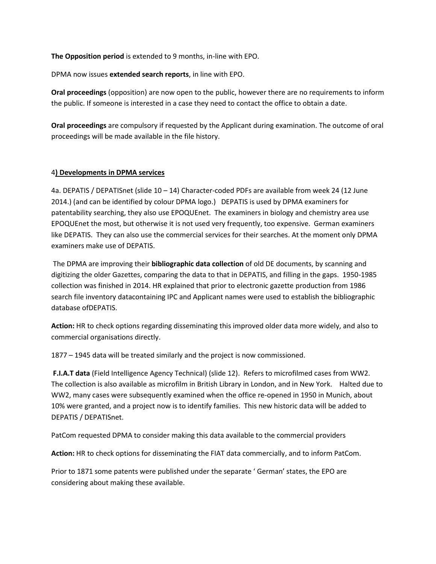**The Opposition period** is extended to 9 months, in-line with EPO.

DPMA now issues **extended search reports**, in line with EPO.

**Oral proceedings** (opposition) are now open to the public, however there are no requirements to inform the public. If someone is interested in a case they need to contact the office to obtain a date.

**Oral proceedings** are compulsory if requested by the Applicant during examination. The outcome of oral proceedings will be made available in the file history.

# 4**) Developments in DPMA services**

4a. DEPATIS / DEPATISnet (slide 10 – 14) Character-coded PDFs are available from week 24 (12 June 2014.) (and can be identified by colour DPMA logo.) DEPATIS is used by DPMA examiners for patentability searching, they also use EPOQUEnet. The examiners in biology and chemistry area use EPOQUEnet the most, but otherwise it is not used very frequently, too expensive. German examiners like DEPATIS. They can also use the commercial services for their searches. At the moment only DPMA examiners make use of DEPATIS.

The DPMA are improving their **bibliographic data collection** of old DE documents, by scanning and digitizing the older Gazettes, comparing the data to that in DEPATIS, and filling in the gaps. 1950-1985 collection was finished in 2014. HR explained that prior to electronic gazette production from 1986 search file inventory datacontaining IPC and Applicant names were used to establish the bibliographic database ofDEPATIS.

**Action:** HR to check options regarding disseminating this improved older data more widely, and also to commercial organisations directly.

1877 – 1945 data will be treated similarly and the project is now commissioned.

**F.I.A.T data** (Field Intelligence Agency Technical) (slide 12). Refers to microfilmed cases from WW2. The collection is also available as microfilm in British Library in London, and in New York. Halted due to WW2, many cases were subsequently examined when the office re-opened in 1950 in Munich, about 10% were granted, and a project now is to identify families. This new historic data will be added to DEPATIS / DEPATISnet.

PatCom requested DPMA to consider making this data available to the commercial providers

**Action:** HR to check options for disseminating the FIAT data commercially, and to inform PatCom.

Prior to 1871 some patents were published under the separate ' German' states, the EPO are considering about making these available.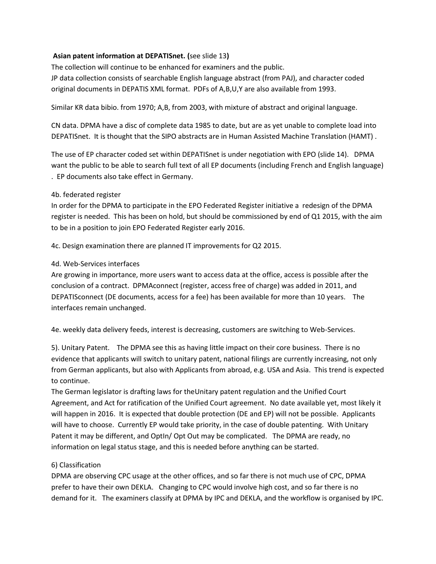# **Asian patent information at DEPATISnet. (**see slide 13**)**

The collection will continue to be enhanced for examiners and the public.

JP data collection consists of searchable English language abstract (from PAJ), and character coded original documents in DEPATIS XML format. PDFs of A,B,U,Y are also available from 1993.

Similar KR data bibio. from 1970; A,B, from 2003, with mixture of abstract and original language.

CN data. DPMA have a disc of complete data 1985 to date, but are as yet unable to complete load into DEPATISnet. It is thought that the SIPO abstracts are in Human Assisted Machine Translation (HAMT) .

The use of EP character coded set within DEPATISnet is under negotiation with EPO (slide 14). DPMA want the public to be able to search full text of all EP documents (including French and English language) . EP documents also take effect in Germany.

# 4b. federated register

In order for the DPMA to participate in the EPO Federated Register initiative a redesign of the DPMA register is needed. This has been on hold, but should be commissioned by end of Q1 2015, with the aim to be in a position to join EPO Federated Register early 2016.

4c. Design examination there are planned IT improvements for Q2 2015.

# 4d. Web-Services interfaces

Are growing in importance, more users want to access data at the office, access is possible after the conclusion of a contract. DPMAconnect (register, access free of charge) was added in 2011, and DEPATISconnect (DE documents, access for a fee) has been available for more than 10 years. The interfaces remain unchanged.

4e. weekly data delivery feeds, interest is decreasing, customers are switching to Web-Services.

5). Unitary Patent. The DPMA see this as having little impact on their core business. There is no evidence that applicants will switch to unitary patent, national filings are currently increasing, not only from German applicants, but also with Applicants from abroad, e.g. USA and Asia. This trend is expected to continue.

The German legislator is drafting laws for theUnitary patent regulation and the Unified Court Agreement, and Act for ratification of the Unified Court agreement. No date available yet, most likely it will happen in 2016. It is expected that double protection (DE and EP) will not be possible. Applicants will have to choose. Currently EP would take priority, in the case of double patenting. With Unitary Patent it may be different, and OptIn/ Opt Out may be complicated. The DPMA are ready, no information on legal status stage, and this is needed before anything can be started.

# 6) Classification

DPMA are observing CPC usage at the other offices, and so far there is not much use of CPC, DPMA prefer to have their own DEKLA. Changing to CPC would involve high cost, and so far there is no demand for it. The examiners classify at DPMA by IPC and DEKLA, and the workflow is organised by IPC.